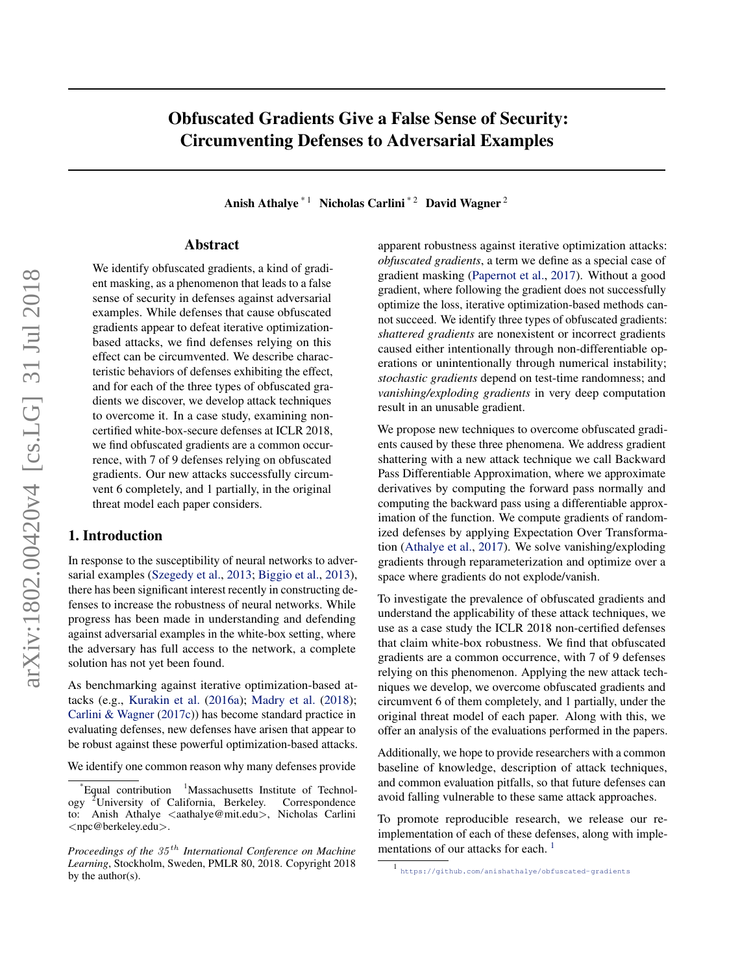# Obfuscated Gradients Give a False Sense of Security: Circumventing Defenses to Adversarial Examples

Anish Athalye<sup>\* 1</sup> Nicholas Carlini<sup>\* 2</sup> David Wagner<sup>2</sup>

## Abstract

We identify obfuscated gradients, a kind of gradient masking, as a phenomenon that leads to a false sense of security in defenses against adversarial examples. While defenses that cause obfuscated gradients appear to defeat iterative optimizationbased attacks, we find defenses relying on this effect can be circumvented. We describe characteristic behaviors of defenses exhibiting the effect, and for each of the three types of obfuscated gradients we discover, we develop attack techniques to overcome it. In a case study, examining noncertified white-box-secure defenses at ICLR 2018, we find obfuscated gradients are a common occurrence, with 7 of 9 defenses relying on obfuscated gradients. Our new attacks successfully circumvent 6 completely, and 1 partially, in the original threat model each paper considers.

## 1. Introduction

In response to the susceptibility of neural networks to adversarial examples [\(Szegedy et al.,](#page-9-0) [2013;](#page-9-0) [Biggio et al.,](#page-8-0) [2013\)](#page-8-0), there has been significant interest recently in constructing defenses to increase the robustness of neural networks. While progress has been made in understanding and defending against adversarial examples in the white-box setting, where the adversary has full access to the network, a complete solution has not yet been found.

As benchmarking against iterative optimization-based attacks (e.g., [Kurakin et al.](#page-9-0) [\(2016a\)](#page-9-0); [Madry et al.](#page-9-0) [\(2018\)](#page-9-0); [Carlini & Wagner](#page-8-0) [\(2017c\)](#page-8-0)) has become standard practice in evaluating defenses, new defenses have arisen that appear to be robust against these powerful optimization-based attacks.

We identify one common reason why many defenses provide

apparent robustness against iterative optimization attacks: *obfuscated gradients*, a term we define as a special case of gradient masking [\(Papernot et al.,](#page-9-0) [2017\)](#page-9-0). Without a good gradient, where following the gradient does not successfully optimize the loss, iterative optimization-based methods cannot succeed. We identify three types of obfuscated gradients: *shattered gradients* are nonexistent or incorrect gradients caused either intentionally through non-differentiable operations or unintentionally through numerical instability; *stochastic gradients* depend on test-time randomness; and *vanishing/exploding gradients* in very deep computation result in an unusable gradient.

We propose new techniques to overcome obfuscated gradients caused by these three phenomena. We address gradient shattering with a new attack technique we call Backward Pass Differentiable Approximation, where we approximate derivatives by computing the forward pass normally and computing the backward pass using a differentiable approximation of the function. We compute gradients of randomized defenses by applying Expectation Over Transformation [\(Athalye et al.,](#page-8-0) [2017\)](#page-8-0). We solve vanishing/exploding gradients through reparameterization and optimize over a space where gradients do not explode/vanish.

To investigate the prevalence of obfuscated gradients and understand the applicability of these attack techniques, we use as a case study the ICLR 2018 non-certified defenses that claim white-box robustness. We find that obfuscated gradients are a common occurrence, with 7 of 9 defenses relying on this phenomenon. Applying the new attack techniques we develop, we overcome obfuscated gradients and circumvent 6 of them completely, and 1 partially, under the original threat model of each paper. Along with this, we offer an analysis of the evaluations performed in the papers.

Additionally, we hope to provide researchers with a common baseline of knowledge, description of attack techniques, and common evaluation pitfalls, so that future defenses can avoid falling vulnerable to these same attack approaches.

To promote reproducible research, we release our reimplementation of each of these defenses, along with implementations of our attacks for each.  $<sup>1</sup>$ </sup>

Equal contribution  $1$ Massachusetts Institute of Technology <sup>2</sup>University of California, Berkeley. Correspondence to: Anish Athalye <aathalye@mit.edu>, Nicholas Carlini <npc@berkeley.edu>.

*Proceedings of the*  $35<sup>th</sup>$  *International Conference on Machine Learning*, Stockholm, Sweden, PMLR 80, 2018. Copyright 2018 by the author(s).

<sup>1</sup> <https://github.com/anishathalye/obfuscated-gradients>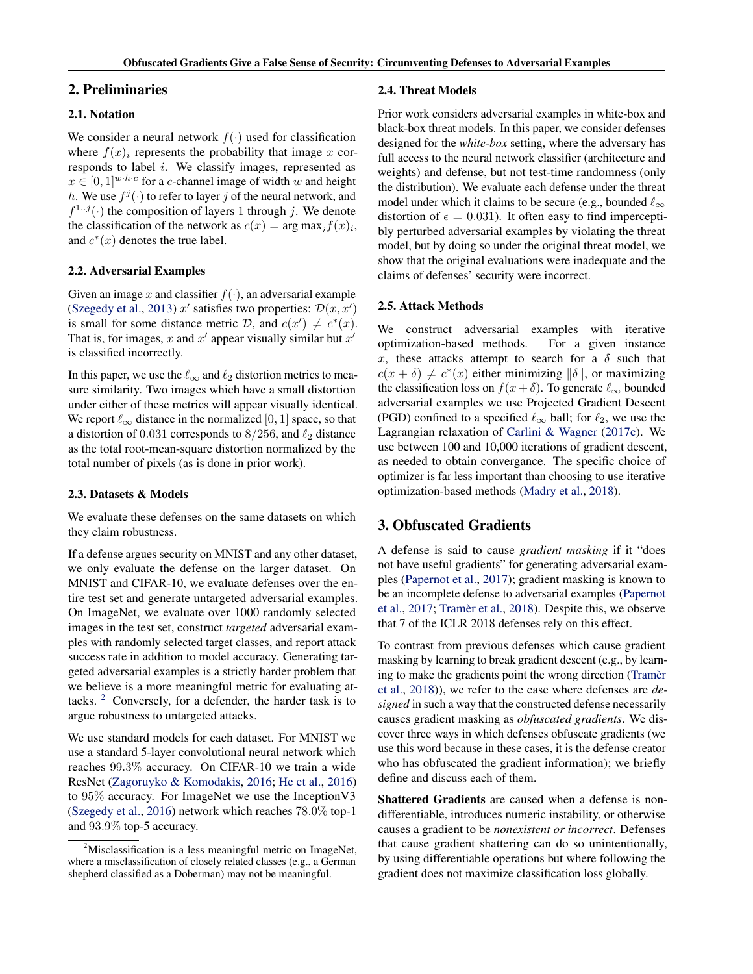## 2. Preliminaries

## 2.1. Notation

We consider a neural network  $f(\cdot)$  used for classification where  $f(x)$  represents the probability that image x corresponds to label i. We classify images, represented as  $x \in [0, 1]^{w \cdot h \cdot c}$  for a c-channel image of width w and height h. We use  $f^j(\cdot)$  to refer to layer j of the neural network, and  $f^{1..j}(\cdot)$  the composition of layers 1 through j. We denote the classification of the network as  $c(x) = \arg \max_i f(x)_i$ , and  $c^*(x)$  denotes the true label.

### 2.2. Adversarial Examples

Given an image x and classifier  $f(\cdot)$ , an adversarial example [\(Szegedy et al.,](#page-9-0) [2013\)](#page-9-0)  $x'$  satisfies two properties:  $\mathcal{D}(x, x')$ is small for some distance metric D, and  $c(x') \neq c^*(x)$ . That is, for images, x and  $x'$  appear visually similar but  $x'$ is classified incorrectly.

In this paper, we use the  $\ell_{\infty}$  and  $\ell_2$  distortion metrics to measure similarity. Two images which have a small distortion under either of these metrics will appear visually identical. We report  $\ell_{\infty}$  distance in the normalized [0, 1] space, so that a distortion of 0.031 corresponds to  $8/256$ , and  $\ell_2$  distance as the total root-mean-square distortion normalized by the total number of pixels (as is done in prior work).

#### 2.3. Datasets & Models

We evaluate these defenses on the same datasets on which they claim robustness.

If a defense argues security on MNIST and any other dataset, we only evaluate the defense on the larger dataset. On MNIST and CIFAR-10, we evaluate defenses over the entire test set and generate untargeted adversarial examples. On ImageNet, we evaluate over 1000 randomly selected images in the test set, construct *targeted* adversarial examples with randomly selected target classes, and report attack success rate in addition to model accuracy. Generating targeted adversarial examples is a strictly harder problem that we believe is a more meaningful metric for evaluating attacks.  $2$  Conversely, for a defender, the harder task is to argue robustness to untargeted attacks.

We use standard models for each dataset. For MNIST we use a standard 5-layer convolutional neural network which reaches 99.3% accuracy. On CIFAR-10 we train a wide ResNet [\(Zagoruyko & Komodakis,](#page-9-0) [2016;](#page-9-0) [He et al.,](#page-8-0) [2016\)](#page-8-0) to 95% accuracy. For ImageNet we use the InceptionV3 [\(Szegedy et al.,](#page-9-0) [2016\)](#page-9-0) network which reaches 78.0% top-1 and 93.9% top-5 accuracy.

#### 2.4. Threat Models

Prior work considers adversarial examples in white-box and black-box threat models. In this paper, we consider defenses designed for the *white-box* setting, where the adversary has full access to the neural network classifier (architecture and weights) and defense, but not test-time randomness (only the distribution). We evaluate each defense under the threat model under which it claims to be secure (e.g., bounded  $\ell_{\infty}$ ) distortion of  $\epsilon = 0.031$ . It often easy to find imperceptibly perturbed adversarial examples by violating the threat model, but by doing so under the original threat model, we show that the original evaluations were inadequate and the claims of defenses' security were incorrect.

#### 2.5. Attack Methods

We construct adversarial examples with iterative optimization-based methods. For a given instance x, these attacks attempt to search for a  $\delta$  such that  $c(x + \delta) \neq c^*(x)$  either minimizing  $\|\delta\|$ , or maximizing the classification loss on  $f(x + \delta)$ . To generate  $\ell_{\infty}$  bounded adversarial examples we use Projected Gradient Descent (PGD) confined to a specified  $\ell_{\infty}$  ball; for  $\ell_2$ , we use the Lagrangian relaxation of [Carlini & Wagner](#page-8-0) [\(2017c\)](#page-8-0). We use between 100 and 10,000 iterations of gradient descent, as needed to obtain convergance. The specific choice of optimizer is far less important than choosing to use iterative optimization-based methods [\(Madry et al.,](#page-9-0) [2018\)](#page-9-0).

## 3. Obfuscated Gradients

A defense is said to cause *gradient masking* if it "does not have useful gradients" for generating adversarial examples [\(Papernot et al.,](#page-9-0) [2017\)](#page-9-0); gradient masking is known to be an incomplete defense to adversarial examples [\(Papernot](#page-9-0) [et al.,](#page-9-0) [2017;](#page-9-0) Tramèr et al., [2018\)](#page-9-0). Despite this, we observe that 7 of the ICLR 2018 defenses rely on this effect.

To contrast from previous defenses which cause gradient masking by learning to break gradient descent (e.g., by learning to make the gradients point the wrong direction [\(Tramer`](#page-9-0) [et al.,](#page-9-0) [2018\)](#page-9-0)), we refer to the case where defenses are *designed* in such a way that the constructed defense necessarily causes gradient masking as *obfuscated gradients*. We discover three ways in which defenses obfuscate gradients (we use this word because in these cases, it is the defense creator who has obfuscated the gradient information); we briefly define and discuss each of them.

Shattered Gradients are caused when a defense is nondifferentiable, introduces numeric instability, or otherwise causes a gradient to be *nonexistent or incorrect*. Defenses that cause gradient shattering can do so unintentionally, by using differentiable operations but where following the gradient does not maximize classification loss globally.

<sup>&</sup>lt;sup>2</sup>Misclassification is a less meaningful metric on ImageNet, where a misclassification of closely related classes (e.g., a German shepherd classified as a Doberman) may not be meaningful.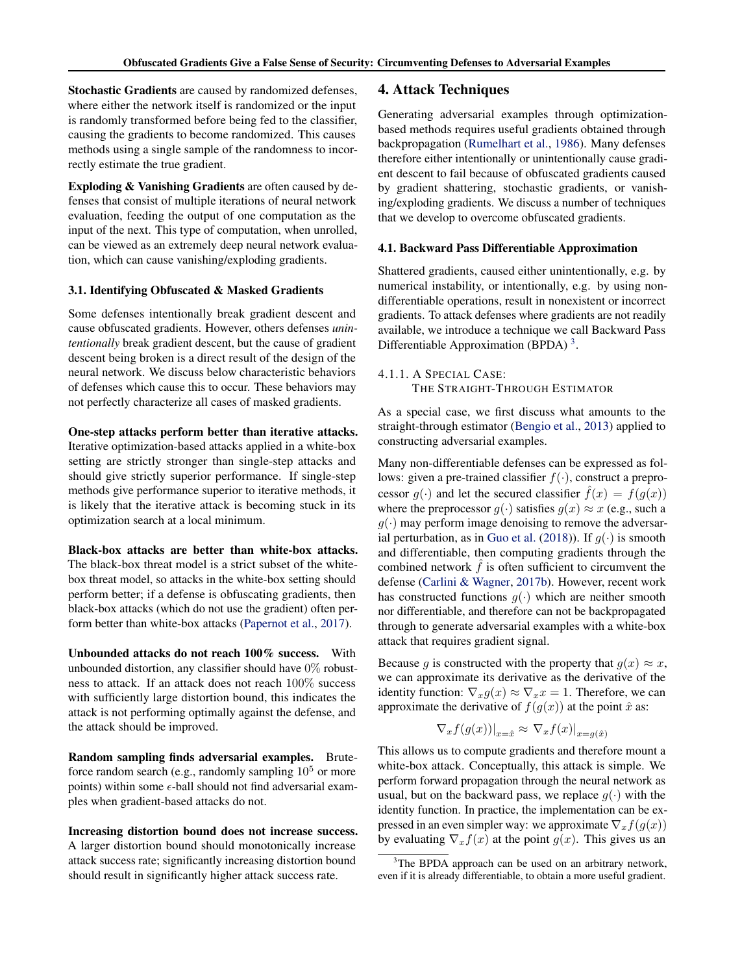Stochastic Gradients are caused by randomized defenses, where either the network itself is randomized or the input is randomly transformed before being fed to the classifier, causing the gradients to become randomized. This causes methods using a single sample of the randomness to incorrectly estimate the true gradient.

Exploding & Vanishing Gradients are often caused by defenses that consist of multiple iterations of neural network evaluation, feeding the output of one computation as the input of the next. This type of computation, when unrolled, can be viewed as an extremely deep neural network evaluation, which can cause vanishing/exploding gradients.

#### 3.1. Identifying Obfuscated & Masked Gradients

Some defenses intentionally break gradient descent and cause obfuscated gradients. However, others defenses *unintentionally* break gradient descent, but the cause of gradient descent being broken is a direct result of the design of the neural network. We discuss below characteristic behaviors of defenses which cause this to occur. These behaviors may not perfectly characterize all cases of masked gradients.

One-step attacks perform better than iterative attacks. Iterative optimization-based attacks applied in a white-box setting are strictly stronger than single-step attacks and should give strictly superior performance. If single-step methods give performance superior to iterative methods, it is likely that the iterative attack is becoming stuck in its optimization search at a local minimum.

Black-box attacks are better than white-box attacks. The black-box threat model is a strict subset of the whitebox threat model, so attacks in the white-box setting should perform better; if a defense is obfuscating gradients, then black-box attacks (which do not use the gradient) often perform better than white-box attacks [\(Papernot et al.,](#page-9-0) [2017\)](#page-9-0).

Unbounded attacks do not reach 100% success. With unbounded distortion, any classifier should have  $0\%$  robustness to attack. If an attack does not reach 100% success with sufficiently large distortion bound, this indicates the attack is not performing optimally against the defense, and the attack should be improved.

Random sampling finds adversarial examples. Bruteforce random search (e.g., randomly sampling  $10<sup>5</sup>$  or more points) within some  $\epsilon$ -ball should not find adversarial examples when gradient-based attacks do not.

Increasing distortion bound does not increase success. A larger distortion bound should monotonically increase attack success rate; significantly increasing distortion bound should result in significantly higher attack success rate.

## 4. Attack Techniques

Generating adversarial examples through optimizationbased methods requires useful gradients obtained through backpropagation [\(Rumelhart et al.,](#page-9-0) [1986\)](#page-9-0). Many defenses therefore either intentionally or unintentionally cause gradient descent to fail because of obfuscated gradients caused by gradient shattering, stochastic gradients, or vanishing/exploding gradients. We discuss a number of techniques that we develop to overcome obfuscated gradients.

#### 4.1. Backward Pass Differentiable Approximation

Shattered gradients, caused either unintentionally, e.g. by numerical instability, or intentionally, e.g. by using nondifferentiable operations, result in nonexistent or incorrect gradients. To attack defenses where gradients are not readily available, we introduce a technique we call Backward Pass Differentiable Approximation (BPDA)<sup>3</sup>.

## 4.1.1. A SPECIAL CASE: THE STRAIGHT-THROUGH ESTIMATOR

As a special case, we first discuss what amounts to the straight-through estimator [\(Bengio et al.,](#page-8-0) [2013\)](#page-8-0) applied to constructing adversarial examples.

Many non-differentiable defenses can be expressed as follows: given a pre-trained classifier  $f(\cdot)$ , construct a preprocessor  $g(\cdot)$  and let the secured classifier  $\hat{f}(x) = f(g(x))$ where the preprocessor  $g(\cdot)$  satisfies  $g(x) \approx x$  (e.g., such a  $g(\cdot)$  may perform image denoising to remove the adversar-ial perturbation, as in [Guo et al.](#page-8-0) [\(2018\)](#page-8-0)). If  $g(\cdot)$  is smooth and differentiable, then computing gradients through the combined network  $\hat{f}$  is often sufficient to circumvent the defense [\(Carlini & Wagner,](#page-8-0) [2017b\)](#page-8-0). However, recent work has constructed functions  $q(.)$  which are neither smooth nor differentiable, and therefore can not be backpropagated through to generate adversarial examples with a white-box attack that requires gradient signal.

Because g is constructed with the property that  $g(x) \approx x$ , we can approximate its derivative as the derivative of the identity function:  $\nabla_x g(x) \approx \nabla_x x = 1$ . Therefore, we can approximate the derivative of  $f(g(x))$  at the point  $\hat{x}$  as:

$$
\nabla_x f(g(x))|_{x=\hat{x}} \approx \nabla_x f(x)|_{x=g(\hat{x})}
$$

This allows us to compute gradients and therefore mount a white-box attack. Conceptually, this attack is simple. We perform forward propagation through the neural network as usual, but on the backward pass, we replace  $g(\cdot)$  with the identity function. In practice, the implementation can be expressed in an even simpler way: we approximate  $\nabla_x f(g(x))$ by evaluating  $\nabla_x f(x)$  at the point  $g(x)$ . This gives us an

<sup>&</sup>lt;sup>3</sup>The BPDA approach can be used on an arbitrary network, even if it is already differentiable, to obtain a more useful gradient.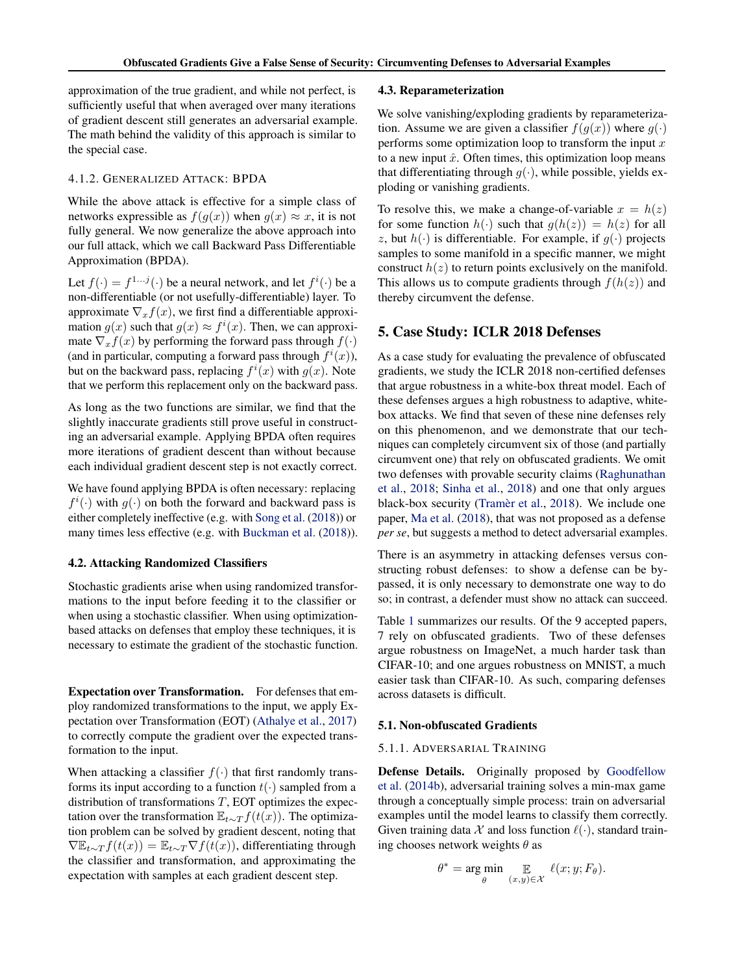<span id="page-3-0"></span>approximation of the true gradient, and while not perfect, is sufficiently useful that when averaged over many iterations of gradient descent still generates an adversarial example. The math behind the validity of this approach is similar to the special case.

#### 4.1.2. GENERALIZED ATTACK: BPDA

While the above attack is effective for a simple class of networks expressible as  $f(g(x))$  when  $g(x) \approx x$ , it is not fully general. We now generalize the above approach into our full attack, which we call Backward Pass Differentiable Approximation (BPDA).

Let  $f(\cdot) = f^{1 \dots j}(\cdot)$  be a neural network, and let  $f^i(\cdot)$  be a non-differentiable (or not usefully-differentiable) layer. To approximate  $\nabla_x f(x)$ , we first find a differentiable approximation  $g(x)$  such that  $g(x) \approx f^{i}(x)$ . Then, we can approximate  $\nabla_x f(x)$  by performing the forward pass through  $f(\cdot)$ (and in particular, computing a forward pass through  $f^i(x)$ ), but on the backward pass, replacing  $f^i(x)$  with  $g(x)$ . Note that we perform this replacement only on the backward pass.

As long as the two functions are similar, we find that the slightly inaccurate gradients still prove useful in constructing an adversarial example. Applying BPDA often requires more iterations of gradient descent than without because each individual gradient descent step is not exactly correct.

We have found applying BPDA is often necessary: replacing  $f^{i}(\cdot)$  with  $g(\cdot)$  on both the forward and backward pass is either completely ineffective (e.g. with [Song et al.](#page-9-0) [\(2018\)](#page-9-0)) or many times less effective (e.g. with [Buckman et al.](#page-8-0) [\(2018\)](#page-8-0)).

#### 4.2. Attacking Randomized Classifiers

Stochastic gradients arise when using randomized transformations to the input before feeding it to the classifier or when using a stochastic classifier. When using optimizationbased attacks on defenses that employ these techniques, it is necessary to estimate the gradient of the stochastic function.

Expectation over Transformation. For defenses that employ randomized transformations to the input, we apply Expectation over Transformation (EOT) [\(Athalye et al.,](#page-8-0) [2017\)](#page-8-0) to correctly compute the gradient over the expected transformation to the input.

When attacking a classifier  $f(\cdot)$  that first randomly transforms its input according to a function  $t(\cdot)$  sampled from a distribution of transformations  $T$ , EOT optimizes the expectation over the transformation  $\mathbb{E}_{t \sim T} f(t(x))$ . The optimization problem can be solved by gradient descent, noting that  $\nabla \mathbb{E}_{t \sim T} f(t(x)) = \mathbb{E}_{t \sim T} \nabla f(t(x))$ , differentiating through the classifier and transformation, and approximating the expectation with samples at each gradient descent step.

#### 4.3. Reparameterization

We solve vanishing/exploding gradients by reparameterization. Assume we are given a classifier  $f(g(x))$  where  $g(\cdot)$ performs some optimization loop to transform the input  $x$ to a new input  $\hat{x}$ . Often times, this optimization loop means that differentiating through  $g(\cdot)$ , while possible, yields exploding or vanishing gradients.

To resolve this, we make a change-of-variable  $x = h(z)$ for some function  $h(\cdot)$  such that  $g(h(z)) = h(z)$  for all z, but  $h(\cdot)$  is differentiable. For example, if  $q(\cdot)$  projects samples to some manifold in a specific manner, we might construct  $h(z)$  to return points exclusively on the manifold. This allows us to compute gradients through  $f(h(z))$  and thereby circumvent the defense.

## 5. Case Study: ICLR 2018 Defenses

As a case study for evaluating the prevalence of obfuscated gradients, we study the ICLR 2018 non-certified defenses that argue robustness in a white-box threat model. Each of these defenses argues a high robustness to adaptive, whitebox attacks. We find that seven of these nine defenses rely on this phenomenon, and we demonstrate that our techniques can completely circumvent six of those (and partially circumvent one) that rely on obfuscated gradients. We omit two defenses with provable security claims [\(Raghunathan](#page-9-0) [et al.,](#page-9-0) [2018;](#page-9-0) [Sinha et al.,](#page-9-0) [2018\)](#page-9-0) and one that only argues black-box security (Tramèr et al., [2018\)](#page-9-0). We include one paper, [Ma et al.](#page-9-0) [\(2018\)](#page-9-0), that was not proposed as a defense *per se*, but suggests a method to detect adversarial examples.

There is an asymmetry in attacking defenses versus constructing robust defenses: to show a defense can be bypassed, it is only necessary to demonstrate one way to do so; in contrast, a defender must show no attack can succeed.

Table [1](#page-4-0) summarizes our results. Of the 9 accepted papers, 7 rely on obfuscated gradients. Two of these defenses argue robustness on ImageNet, a much harder task than CIFAR-10; and one argues robustness on MNIST, a much easier task than CIFAR-10. As such, comparing defenses across datasets is difficult.

#### 5.1. Non-obfuscated Gradients

#### 5.1.1. ADVERSARIAL TRAINING

Defense Details. Originally proposed by [Goodfellow](#page-8-0) [et al.](#page-8-0) [\(2014b\)](#page-8-0), adversarial training solves a min-max game through a conceptually simple process: train on adversarial examples until the model learns to classify them correctly. Given training data X and loss function  $\ell(\cdot)$ , standard training chooses network weights  $\theta$  as

$$
\theta^* = \underset{\theta}{\arg\min} \mathop{\mathbb{E}}_{(x,y)\in\mathcal{X}} \ell(x; y; F_{\theta}).
$$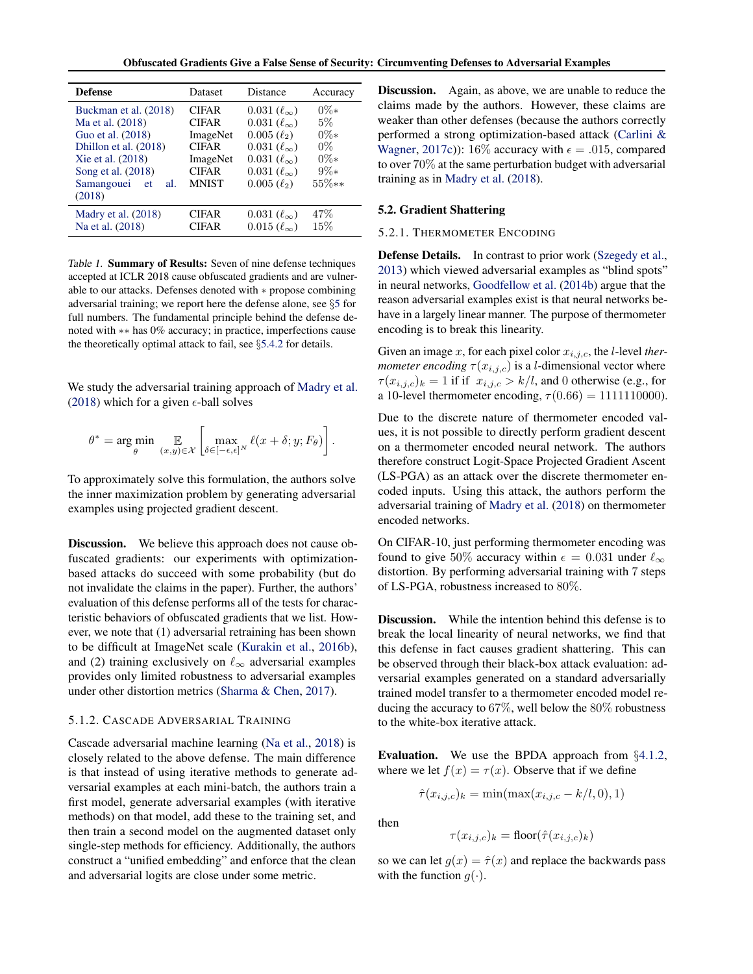Obfuscated Gradients Give a False Sense of Security: Circumventing Defenses to Adversarial Examples

<span id="page-4-0"></span>

| <b>Defense</b><br>Distance<br><b>Dataset</b><br>Accuracy<br>$0\%*$<br><b>CIFAR</b><br>Buckman et al. (2018)<br>$0.031\,(\ell_{\infty})$<br>$5\%$<br>Ma et al. (2018)<br>$0.031 (\ell_{\infty})$<br><b>CIFAR</b><br>$0\%*$<br>Guo et al. (2018)<br>$0.005 (\ell_2)$<br>ImageNet<br>$0\%$<br>Dhillon et al. (2018)<br><b>CIFAR</b><br>$0.031\,(\ell_{\infty})$<br>$0\%*$<br>Xie et al. (2018)<br>$0.031\,(\ell_{\infty})$<br>ImageNet<br>$9\%*$<br>Song et al. (2018)<br>$0.031\,(\ell_{\infty})$<br><b>CIFAR</b><br>$55\%**$<br><b>MNIST</b><br>$0.005 (\ell_2)$<br>Samangouei<br>al.<br>et<br>(2018)<br>47%<br>Madry et al. $(2018)$<br><b>CIFAR</b><br>$0.031\,(\ell_{\infty})$<br>15%<br>Na et al. (2018)<br>$0.015 (\ell_{\infty})$<br><b>CIFAR</b> |  |  |
|--------------------------------------------------------------------------------------------------------------------------------------------------------------------------------------------------------------------------------------------------------------------------------------------------------------------------------------------------------------------------------------------------------------------------------------------------------------------------------------------------------------------------------------------------------------------------------------------------------------------------------------------------------------------------------------------------------------------------------------------------------|--|--|
|                                                                                                                                                                                                                                                                                                                                                                                                                                                                                                                                                                                                                                                                                                                                                        |  |  |
|                                                                                                                                                                                                                                                                                                                                                                                                                                                                                                                                                                                                                                                                                                                                                        |  |  |
|                                                                                                                                                                                                                                                                                                                                                                                                                                                                                                                                                                                                                                                                                                                                                        |  |  |
|                                                                                                                                                                                                                                                                                                                                                                                                                                                                                                                                                                                                                                                                                                                                                        |  |  |
|                                                                                                                                                                                                                                                                                                                                                                                                                                                                                                                                                                                                                                                                                                                                                        |  |  |
|                                                                                                                                                                                                                                                                                                                                                                                                                                                                                                                                                                                                                                                                                                                                                        |  |  |
|                                                                                                                                                                                                                                                                                                                                                                                                                                                                                                                                                                                                                                                                                                                                                        |  |  |
|                                                                                                                                                                                                                                                                                                                                                                                                                                                                                                                                                                                                                                                                                                                                                        |  |  |

Table 1. Summary of Results: Seven of nine defense techniques accepted at ICLR 2018 cause obfuscated gradients and are vulnerable to our attacks. Defenses denoted with ∗ propose combining adversarial training; we report here the defense alone, see §[5](#page-3-0) for full numbers. The fundamental principle behind the defense denoted with ∗∗ has 0% accuracy; in practice, imperfections cause the theoretically optimal attack to fail, see §[5.4.2](#page-7-0) for details.

We study the adversarial training approach of [Madry et al.](#page-9-0) [\(2018\)](#page-9-0) which for a given  $\epsilon$ -ball solves

$$
\theta^* = \arg\min_{\theta} \mathop{\mathbb{E}}_{(x,y)\in\mathcal{X}} \left[ \max_{\delta \in [-\epsilon,\epsilon]^N} \ell(x+\delta;y;F_{\theta}) \right].
$$

To approximately solve this formulation, the authors solve the inner maximization problem by generating adversarial examples using projected gradient descent.

Discussion. We believe this approach does not cause obfuscated gradients: our experiments with optimizationbased attacks do succeed with some probability (but do not invalidate the claims in the paper). Further, the authors' evaluation of this defense performs all of the tests for characteristic behaviors of obfuscated gradients that we list. However, we note that (1) adversarial retraining has been shown to be difficult at ImageNet scale [\(Kurakin et al.,](#page-9-0) [2016b\)](#page-9-0), and (2) training exclusively on  $\ell_{\infty}$  adversarial examples provides only limited robustness to adversarial examples under other distortion metrics [\(Sharma & Chen,](#page-9-0) [2017\)](#page-9-0).

#### 5.1.2. CASCADE ADVERSARIAL TRAINING

Cascade adversarial machine learning [\(Na et al.,](#page-9-0) [2018\)](#page-9-0) is closely related to the above defense. The main difference is that instead of using iterative methods to generate adversarial examples at each mini-batch, the authors train a first model, generate adversarial examples (with iterative methods) on that model, add these to the training set, and then train a second model on the augmented dataset only single-step methods for efficiency. Additionally, the authors construct a "unified embedding" and enforce that the clean and adversarial logits are close under some metric.

Discussion. Again, as above, we are unable to reduce the claims made by the authors. However, these claims are weaker than other defenses (because the authors correctly performed a strong optimization-based attack [\(Carlini &](#page-8-0) [Wagner,](#page-8-0) [2017c\)](#page-8-0)): 16% accuracy with  $\epsilon = .015$ , compared to over 70% at the same perturbation budget with adversarial training as in [Madry et al.](#page-9-0) [\(2018\)](#page-9-0).

#### 5.2. Gradient Shattering

#### 5.2.1. THERMOMETER ENCODING

Defense Details. In contrast to prior work [\(Szegedy et al.,](#page-9-0) [2013\)](#page-9-0) which viewed adversarial examples as "blind spots" in neural networks, [Goodfellow et al.](#page-8-0) [\(2014b\)](#page-8-0) argue that the reason adversarial examples exist is that neural networks behave in a largely linear manner. The purpose of thermometer encoding is to break this linearity.

Given an image  $x$ , for each pixel color  $x_{i,j,c}$ , the *l*-level *thermometer encoding*  $\tau(x_{i,j,c})$  is a *l*-dimensional vector where  $\tau(x_{i,j,c})_k = 1$  if if  $x_{i,j,c} > k/l$ , and 0 otherwise (e.g., for a 10-level thermometer encoding,  $\tau(0.66) = 11111110000$ ).

Due to the discrete nature of thermometer encoded values, it is not possible to directly perform gradient descent on a thermometer encoded neural network. The authors therefore construct Logit-Space Projected Gradient Ascent (LS-PGA) as an attack over the discrete thermometer encoded inputs. Using this attack, the authors perform the adversarial training of [Madry et al.](#page-9-0) [\(2018\)](#page-9-0) on thermometer encoded networks.

On CIFAR-10, just performing thermometer encoding was found to give 50% accuracy within  $\epsilon = 0.031$  under  $\ell_{\infty}$ distortion. By performing adversarial training with 7 steps of LS-PGA, robustness increased to 80%.

Discussion. While the intention behind this defense is to break the local linearity of neural networks, we find that this defense in fact causes gradient shattering. This can be observed through their black-box attack evaluation: adversarial examples generated on a standard adversarially trained model transfer to a thermometer encoded model reducing the accuracy to 67%, well below the 80% robustness to the white-box iterative attack.

Evaluation. We use the BPDA approach from §[4.1.2,](#page-3-0) where we let  $f(x) = \tau(x)$ . Observe that if we define

$$
\hat{\tau}(x_{i,j,c})_k = \min(\max(x_{i,j,c} - k/l, 0), 1)
$$

then

$$
\tau(x_{i,j,c})_k = \text{floor}(\hat{\tau}(x_{i,j,c})_k)
$$

so we can let  $q(x) = \hat{\tau}(x)$  and replace the backwards pass with the function  $g(\cdot)$ .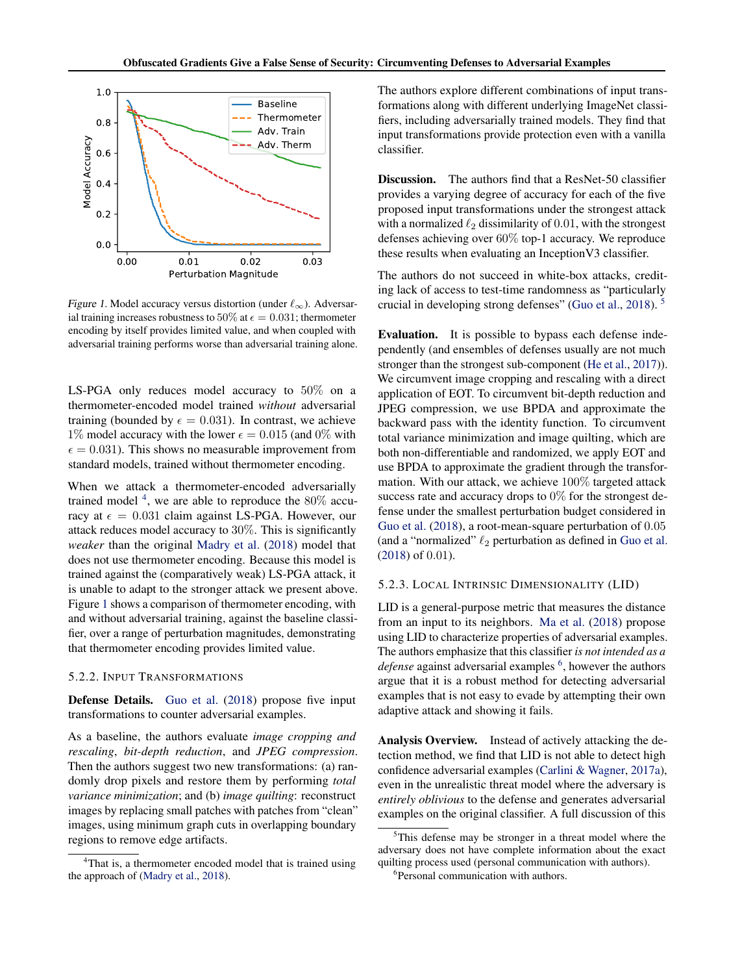

Figure 1. Model accuracy versus distortion (under  $\ell_{\infty}$ ). Adversarial training increases robustness to 50% at  $\epsilon = 0.031$ ; thermometer encoding by itself provides limited value, and when coupled with adversarial training performs worse than adversarial training alone.

LS-PGA only reduces model accuracy to 50% on a thermometer-encoded model trained *without* adversarial training (bounded by  $\epsilon = 0.031$ ). In contrast, we achieve 1% model accuracy with the lower  $\epsilon = 0.015$  (and 0% with  $\epsilon = 0.031$ ). This shows no measurable improvement from standard models, trained without thermometer encoding.

When we attack a thermometer-encoded adversarially trained model  $4$ , we are able to reproduce the 80% accuracy at  $\epsilon = 0.031$  claim against LS-PGA. However, our attack reduces model accuracy to 30%. This is significantly *weaker* than the original [Madry et al.](#page-9-0) [\(2018\)](#page-9-0) model that does not use thermometer encoding. Because this model is trained against the (comparatively weak) LS-PGA attack, it is unable to adapt to the stronger attack we present above. Figure 1 shows a comparison of thermometer encoding, with and without adversarial training, against the baseline classifier, over a range of perturbation magnitudes, demonstrating that thermometer encoding provides limited value.

#### 5.2.2. INPUT TRANSFORMATIONS

Defense Details. [Guo et al.](#page-8-0) [\(2018\)](#page-8-0) propose five input transformations to counter adversarial examples.

As a baseline, the authors evaluate *image cropping and rescaling*, *bit-depth reduction*, and *JPEG compression*. Then the authors suggest two new transformations: (a) randomly drop pixels and restore them by performing *total variance minimization*; and (b) *image quilting*: reconstruct images by replacing small patches with patches from "clean" images, using minimum graph cuts in overlapping boundary regions to remove edge artifacts.

The authors explore different combinations of input transformations along with different underlying ImageNet classifiers, including adversarially trained models. They find that input transformations provide protection even with a vanilla classifier.

Discussion. The authors find that a ResNet-50 classifier provides a varying degree of accuracy for each of the five proposed input transformations under the strongest attack with a normalized  $\ell_2$  dissimilarity of 0.01, with the strongest defenses achieving over 60% top-1 accuracy. We reproduce these results when evaluating an InceptionV3 classifier.

The authors do not succeed in white-box attacks, crediting lack of access to test-time randomness as "particularly crucial in developing strong defenses" [\(Guo et al.,](#page-8-0) [2018\)](#page-8-0). <sup>5</sup>

Evaluation. It is possible to bypass each defense independently (and ensembles of defenses usually are not much stronger than the strongest sub-component [\(He et al.,](#page-8-0) [2017\)](#page-8-0)). We circumvent image cropping and rescaling with a direct application of EOT. To circumvent bit-depth reduction and JPEG compression, we use BPDA and approximate the backward pass with the identity function. To circumvent total variance minimization and image quilting, which are both non-differentiable and randomized, we apply EOT and use BPDA to approximate the gradient through the transformation. With our attack, we achieve 100% targeted attack success rate and accuracy drops to 0% for the strongest defense under the smallest perturbation budget considered in [Guo et al.](#page-8-0) [\(2018\)](#page-8-0), a root-mean-square perturbation of 0.05 (and a "normalized"  $\ell_2$  perturbation as defined in [Guo et al.](#page-8-0) [\(2018\)](#page-8-0) of 0.01).

#### 5.2.3. LOCAL INTRINSIC DIMENSIONALITY (LID)

LID is a general-purpose metric that measures the distance from an input to its neighbors. [Ma et al.](#page-9-0) [\(2018\)](#page-9-0) propose using LID to characterize properties of adversarial examples. The authors emphasize that this classifier *is not intended as a* defense against adversarial examples <sup>6</sup>, however the authors argue that it is a robust method for detecting adversarial examples that is not easy to evade by attempting their own adaptive attack and showing it fails.

Analysis Overview. Instead of actively attacking the detection method, we find that LID is not able to detect high confidence adversarial examples [\(Carlini & Wagner,](#page-8-0) [2017a\)](#page-8-0), even in the unrealistic threat model where the adversary is *entirely oblivious* to the defense and generates adversarial examples on the original classifier. A full discussion of this

<sup>&</sup>lt;sup>4</sup>That is, a thermometer encoded model that is trained using the approach of [\(Madry et al.,](#page-9-0) [2018\)](#page-9-0).

 $5$ This defense may be stronger in a threat model where the adversary does not have complete information about the exact quilting process used (personal communication with authors).

<sup>6</sup> Personal communication with authors.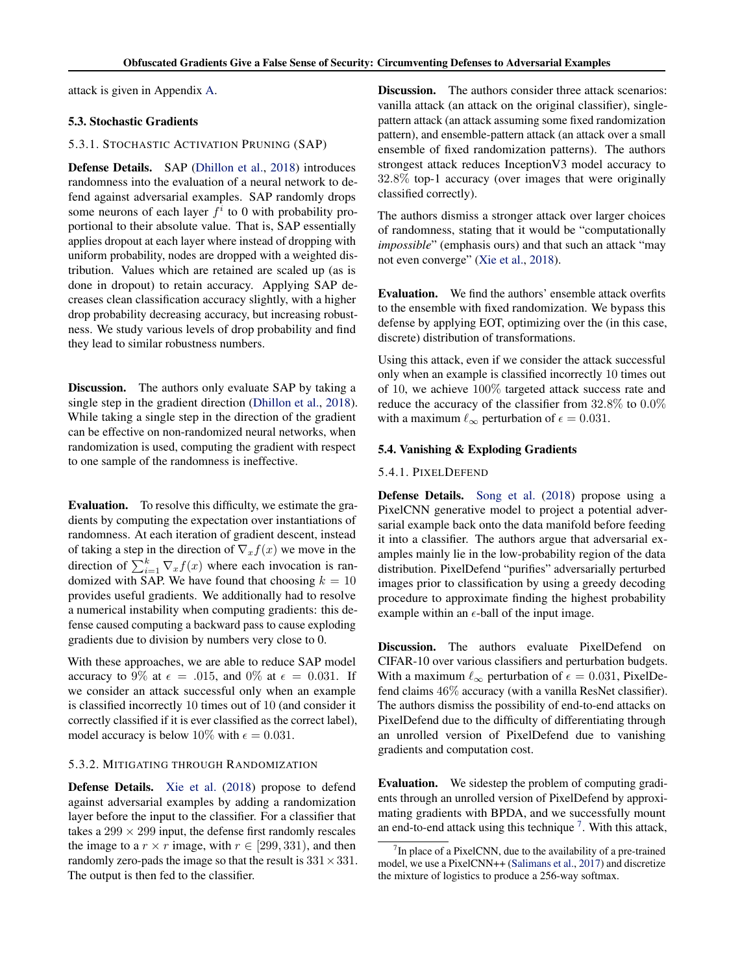attack is given in Appendix [A.](#page-10-0)

#### 5.3. Stochastic Gradients

#### 5.3.1. STOCHASTIC ACTIVATION PRUNING (SAP)

Defense Details. SAP [\(Dhillon et al.,](#page-8-0) [2018\)](#page-8-0) introduces randomness into the evaluation of a neural network to defend against adversarial examples. SAP randomly drops some neurons of each layer  $f^i$  to 0 with probability proportional to their absolute value. That is, SAP essentially applies dropout at each layer where instead of dropping with uniform probability, nodes are dropped with a weighted distribution. Values which are retained are scaled up (as is done in dropout) to retain accuracy. Applying SAP decreases clean classification accuracy slightly, with a higher drop probability decreasing accuracy, but increasing robustness. We study various levels of drop probability and find they lead to similar robustness numbers.

**Discussion.** The authors only evaluate SAP by taking a single step in the gradient direction [\(Dhillon et al.,](#page-8-0) [2018\)](#page-8-0). While taking a single step in the direction of the gradient can be effective on non-randomized neural networks, when randomization is used, computing the gradient with respect to one sample of the randomness is ineffective.

Evaluation. To resolve this difficulty, we estimate the gradients by computing the expectation over instantiations of randomness. At each iteration of gradient descent, instead of taking a step in the direction of  $\nabla_x f(x)$  we move in the direction of  $\sum_{i=1}^{k} \nabla_x f(x)$  where each invocation is randomized with SAP. We have found that choosing  $k = 10$ provides useful gradients. We additionally had to resolve a numerical instability when computing gradients: this defense caused computing a backward pass to cause exploding gradients due to division by numbers very close to 0.

With these approaches, we are able to reduce SAP model accuracy to 9% at  $\epsilon = .015$ , and 0% at  $\epsilon = 0.031$ . If we consider an attack successful only when an example is classified incorrectly 10 times out of 10 (and consider it correctly classified if it is ever classified as the correct label), model accuracy is below 10% with  $\epsilon = 0.031$ .

## 5.3.2. MITIGATING THROUGH RANDOMIZATION

Defense Details. [Xie et al.](#page-9-0) [\(2018\)](#page-9-0) propose to defend against adversarial examples by adding a randomization layer before the input to the classifier. For a classifier that takes a  $299 \times 299$  input, the defense first randomly rescales the image to a  $r \times r$  image, with  $r \in [299, 331)$ , and then randomly zero-pads the image so that the result is  $331 \times 331$ . The output is then fed to the classifier.

Discussion. The authors consider three attack scenarios: vanilla attack (an attack on the original classifier), singlepattern attack (an attack assuming some fixed randomization pattern), and ensemble-pattern attack (an attack over a small ensemble of fixed randomization patterns). The authors strongest attack reduces InceptionV3 model accuracy to 32.8% top-1 accuracy (over images that were originally classified correctly).

The authors dismiss a stronger attack over larger choices of randomness, stating that it would be "computationally *impossible*" (emphasis ours) and that such an attack "may not even converge" [\(Xie et al.,](#page-9-0) [2018\)](#page-9-0).

Evaluation. We find the authors' ensemble attack overfits to the ensemble with fixed randomization. We bypass this defense by applying EOT, optimizing over the (in this case, discrete) distribution of transformations.

Using this attack, even if we consider the attack successful only when an example is classified incorrectly 10 times out of 10, we achieve 100% targeted attack success rate and reduce the accuracy of the classifier from 32.8% to 0.0% with a maximum  $\ell_{\infty}$  perturbation of  $\epsilon = 0.031$ .

#### 5.4. Vanishing & Exploding Gradients

#### 5.4.1. PIXELDEFEND

Defense Details. [Song et al.](#page-9-0) [\(2018\)](#page-9-0) propose using a PixelCNN generative model to project a potential adversarial example back onto the data manifold before feeding it into a classifier. The authors argue that adversarial examples mainly lie in the low-probability region of the data distribution. PixelDefend "purifies" adversarially perturbed images prior to classification by using a greedy decoding procedure to approximate finding the highest probability example within an  $\epsilon$ -ball of the input image.

Discussion. The authors evaluate PixelDefend on CIFAR-10 over various classifiers and perturbation budgets. With a maximum  $\ell_{\infty}$  perturbation of  $\epsilon = 0.031$ , PixelDefend claims 46% accuracy (with a vanilla ResNet classifier). The authors dismiss the possibility of end-to-end attacks on PixelDefend due to the difficulty of differentiating through an unrolled version of PixelDefend due to vanishing gradients and computation cost.

Evaluation. We sidestep the problem of computing gradients through an unrolled version of PixelDefend by approximating gradients with BPDA, and we successfully mount an end-to-end attack using this technique<sup>7</sup>. With this attack,

 $7$ In place of a PixelCNN, due to the availability of a pre-trained model, we use a PixelCNN++ [\(Salimans et al.,](#page-9-0) [2017\)](#page-9-0) and discretize the mixture of logistics to produce a 256-way softmax.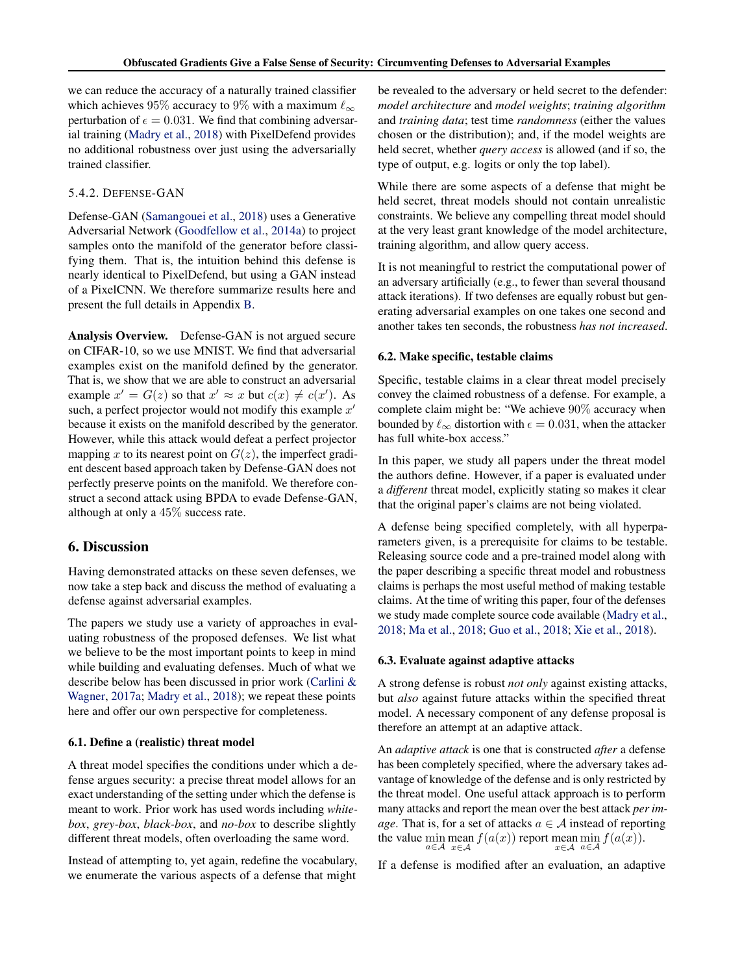<span id="page-7-0"></span>we can reduce the accuracy of a naturally trained classifier which achieves 95% accuracy to 9% with a maximum  $\ell_{\infty}$ perturbation of  $\epsilon = 0.031$ . We find that combining adversarial training [\(Madry et al.,](#page-9-0) [2018\)](#page-9-0) with PixelDefend provides no additional robustness over just using the adversarially trained classifier.

### 5.4.2. DEFENSE-GAN

Defense-GAN [\(Samangouei et al.,](#page-9-0) [2018\)](#page-9-0) uses a Generative Adversarial Network [\(Goodfellow et al.,](#page-8-0) [2014a\)](#page-8-0) to project samples onto the manifold of the generator before classifying them. That is, the intuition behind this defense is nearly identical to PixelDefend, but using a GAN instead of a PixelCNN. We therefore summarize results here and present the full details in Appendix [B.](#page-10-0)

Analysis Overview. Defense-GAN is not argued secure on CIFAR-10, so we use MNIST. We find that adversarial examples exist on the manifold defined by the generator. That is, we show that we are able to construct an adversarial example  $x' = G(z)$  so that  $x' \approx x$  but  $c(x) \neq c(x')$ . As such, a perfect projector would not modify this example  $x'$ because it exists on the manifold described by the generator. However, while this attack would defeat a perfect projector mapping x to its nearest point on  $G(z)$ , the imperfect gradient descent based approach taken by Defense-GAN does not perfectly preserve points on the manifold. We therefore construct a second attack using BPDA to evade Defense-GAN, although at only a 45% success rate.

## 6. Discussion

Having demonstrated attacks on these seven defenses, we now take a step back and discuss the method of evaluating a defense against adversarial examples.

The papers we study use a variety of approaches in evaluating robustness of the proposed defenses. We list what we believe to be the most important points to keep in mind while building and evaluating defenses. Much of what we describe below has been discussed in prior work [\(Carlini &](#page-8-0) [Wagner,](#page-8-0) [2017a;](#page-8-0) [Madry et al.,](#page-9-0) [2018\)](#page-9-0); we repeat these points here and offer our own perspective for completeness.

#### 6.1. Define a (realistic) threat model

A threat model specifies the conditions under which a defense argues security: a precise threat model allows for an exact understanding of the setting under which the defense is meant to work. Prior work has used words including *whitebox*, *grey-box*, *black-box*, and *no-box* to describe slightly different threat models, often overloading the same word.

Instead of attempting to, yet again, redefine the vocabulary, we enumerate the various aspects of a defense that might

be revealed to the adversary or held secret to the defender: *model architecture* and *model weights*; *training algorithm* and *training data*; test time *randomness* (either the values chosen or the distribution); and, if the model weights are held secret, whether *query access* is allowed (and if so, the type of output, e.g. logits or only the top label).

While there are some aspects of a defense that might be held secret, threat models should not contain unrealistic constraints. We believe any compelling threat model should at the very least grant knowledge of the model architecture, training algorithm, and allow query access.

It is not meaningful to restrict the computational power of an adversary artificially (e.g., to fewer than several thousand attack iterations). If two defenses are equally robust but generating adversarial examples on one takes one second and another takes ten seconds, the robustness *has not increased*.

### 6.2. Make specific, testable claims

Specific, testable claims in a clear threat model precisely convey the claimed robustness of a defense. For example, a complete claim might be: "We achieve 90% accuracy when bounded by  $\ell_{\infty}$  distortion with  $\epsilon = 0.031$ , when the attacker has full white-box access."

In this paper, we study all papers under the threat model the authors define. However, if a paper is evaluated under a *different* threat model, explicitly stating so makes it clear that the original paper's claims are not being violated.

A defense being specified completely, with all hyperparameters given, is a prerequisite for claims to be testable. Releasing source code and a pre-trained model along with the paper describing a specific threat model and robustness claims is perhaps the most useful method of making testable claims. At the time of writing this paper, four of the defenses we study made complete source code available [\(Madry et al.,](#page-9-0) [2018;](#page-9-0) [Ma et al.,](#page-9-0) [2018;](#page-9-0) [Guo et al.,](#page-8-0) [2018;](#page-8-0) [Xie et al.,](#page-9-0) [2018\)](#page-9-0).

#### 6.3. Evaluate against adaptive attacks

A strong defense is robust *not only* against existing attacks, but *also* against future attacks within the specified threat model. A necessary component of any defense proposal is therefore an attempt at an adaptive attack.

An *adaptive attack* is one that is constructed *after* a defense has been completely specified, where the adversary takes advantage of knowledge of the defense and is only restricted by the threat model. One useful attack approach is to perform many attacks and report the mean over the best attack *per image*. That is, for a set of attacks  $a \in \mathcal{A}$  instead of reporting the value  $\min_{a \in \mathcal{A}} \operatorname{mean}_{x \in \mathcal{A}} f(a(x))$  report  $\max_{x \in \mathcal{A}} \min_{a \in \mathcal{A}} f(a(x)).$ 

If a defense is modified after an evaluation, an adaptive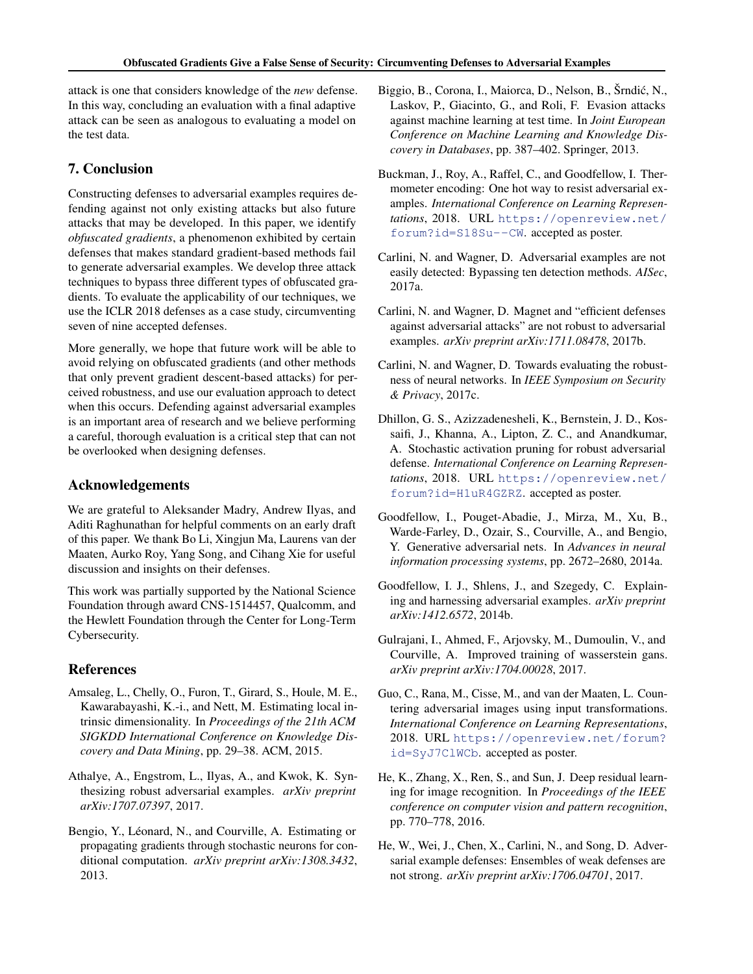<span id="page-8-0"></span>attack is one that considers knowledge of the *new* defense. In this way, concluding an evaluation with a final adaptive attack can be seen as analogous to evaluating a model on the test data.

## 7. Conclusion

Constructing defenses to adversarial examples requires defending against not only existing attacks but also future attacks that may be developed. In this paper, we identify *obfuscated gradients*, a phenomenon exhibited by certain defenses that makes standard gradient-based methods fail to generate adversarial examples. We develop three attack techniques to bypass three different types of obfuscated gradients. To evaluate the applicability of our techniques, we use the ICLR 2018 defenses as a case study, circumventing seven of nine accepted defenses.

More generally, we hope that future work will be able to avoid relying on obfuscated gradients (and other methods that only prevent gradient descent-based attacks) for perceived robustness, and use our evaluation approach to detect when this occurs. Defending against adversarial examples is an important area of research and we believe performing a careful, thorough evaluation is a critical step that can not be overlooked when designing defenses.

## Acknowledgements

We are grateful to Aleksander Madry, Andrew Ilyas, and Aditi Raghunathan for helpful comments on an early draft of this paper. We thank Bo Li, Xingjun Ma, Laurens van der Maaten, Aurko Roy, Yang Song, and Cihang Xie for useful discussion and insights on their defenses.

This work was partially supported by the National Science Foundation through award CNS-1514457, Qualcomm, and the Hewlett Foundation through the Center for Long-Term Cybersecurity.

## References

- Amsaleg, L., Chelly, O., Furon, T., Girard, S., Houle, M. E., Kawarabayashi, K.-i., and Nett, M. Estimating local intrinsic dimensionality. In *Proceedings of the 21th ACM SIGKDD International Conference on Knowledge Discovery and Data Mining*, pp. 29–38. ACM, 2015.
- Athalye, A., Engstrom, L., Ilyas, A., and Kwok, K. Synthesizing robust adversarial examples. *arXiv preprint arXiv:1707.07397*, 2017.
- Bengio, Y., Léonard, N., and Courville, A. Estimating or propagating gradients through stochastic neurons for conditional computation. *arXiv preprint arXiv:1308.3432*, 2013.
- Biggio, B., Corona, I., Maiorca, D., Nelson, B., Šrndić, N., Laskov, P., Giacinto, G., and Roli, F. Evasion attacks against machine learning at test time. In *Joint European Conference on Machine Learning and Knowledge Discovery in Databases*, pp. 387–402. Springer, 2013.
- Buckman, J., Roy, A., Raffel, C., and Goodfellow, I. Thermometer encoding: One hot way to resist adversarial examples. *International Conference on Learning Representations*, 2018. URL [https://openreview.net/](https://openreview.net/forum?id=S18Su--CW) [forum?id=S18Su--CW](https://openreview.net/forum?id=S18Su--CW). accepted as poster.
- Carlini, N. and Wagner, D. Adversarial examples are not easily detected: Bypassing ten detection methods. *AISec*, 2017a.
- Carlini, N. and Wagner, D. Magnet and "efficient defenses against adversarial attacks" are not robust to adversarial examples. *arXiv preprint arXiv:1711.08478*, 2017b.
- Carlini, N. and Wagner, D. Towards evaluating the robustness of neural networks. In *IEEE Symposium on Security & Privacy*, 2017c.
- Dhillon, G. S., Azizzadenesheli, K., Bernstein, J. D., Kossaifi, J., Khanna, A., Lipton, Z. C., and Anandkumar, A. Stochastic activation pruning for robust adversarial defense. *International Conference on Learning Representations*, 2018. URL [https://openreview.net/](https://openreview.net/forum?id=H1uR4GZRZ) [forum?id=H1uR4GZRZ](https://openreview.net/forum?id=H1uR4GZRZ). accepted as poster.
- Goodfellow, I., Pouget-Abadie, J., Mirza, M., Xu, B., Warde-Farley, D., Ozair, S., Courville, A., and Bengio, Y. Generative adversarial nets. In *Advances in neural information processing systems*, pp. 2672–2680, 2014a.
- Goodfellow, I. J., Shlens, J., and Szegedy, C. Explaining and harnessing adversarial examples. *arXiv preprint arXiv:1412.6572*, 2014b.
- Gulrajani, I., Ahmed, F., Arjovsky, M., Dumoulin, V., and Courville, A. Improved training of wasserstein gans. *arXiv preprint arXiv:1704.00028*, 2017.
- Guo, C., Rana, M., Cisse, M., and van der Maaten, L. Countering adversarial images using input transformations. *International Conference on Learning Representations*, 2018. URL [https://openreview.net/forum?](https://openreview.net/forum?id=SyJ7ClWCb) [id=SyJ7ClWCb](https://openreview.net/forum?id=SyJ7ClWCb). accepted as poster.
- He, K., Zhang, X., Ren, S., and Sun, J. Deep residual learning for image recognition. In *Proceedings of the IEEE conference on computer vision and pattern recognition*, pp. 770–778, 2016.
- He, W., Wei, J., Chen, X., Carlini, N., and Song, D. Adversarial example defenses: Ensembles of weak defenses are not strong. *arXiv preprint arXiv:1706.04701*, 2017.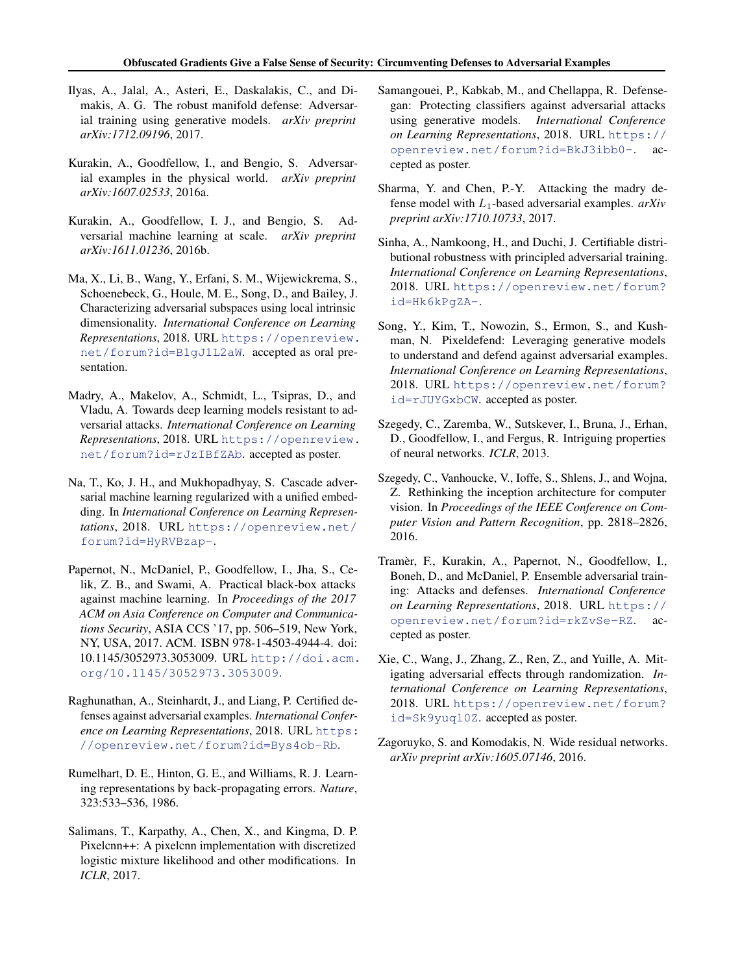- <span id="page-9-0"></span>Ilyas, A., Jalal, A., Asteri, E., Daskalakis, C., and Dimakis, A. G. The robust manifold defense: Adversarial training using generative models. *arXiv preprint arXiv:1712.09196*, 2017.
- Kurakin, A., Goodfellow, I., and Bengio, S. Adversarial examples in the physical world. *arXiv preprint arXiv:1607.02533*, 2016a.
- Kurakin, A., Goodfellow, I. J., and Bengio, S. Adversarial machine learning at scale. *arXiv preprint arXiv:1611.01236*, 2016b.
- Ma, X., Li, B., Wang, Y., Erfani, S. M., Wijewickrema, S., Schoenebeck, G., Houle, M. E., Song, D., and Bailey, J. Characterizing adversarial subspaces using local intrinsic dimensionality. *International Conference on Learning Representations*, 2018. URL [https://openreview.](https://openreview.net/forum?id=B1gJ1L2aW) [net/forum?id=B1gJ1L2aW](https://openreview.net/forum?id=B1gJ1L2aW). accepted as oral presentation.
- Madry, A., Makelov, A., Schmidt, L., Tsipras, D., and Vladu, A. Towards deep learning models resistant to adversarial attacks. *International Conference on Learning Representations*, 2018. URL [https://openreview.](https://openreview.net/forum?id=rJzIBfZAb) [net/forum?id=rJzIBfZAb](https://openreview.net/forum?id=rJzIBfZAb). accepted as poster.
- Na, T., Ko, J. H., and Mukhopadhyay, S. Cascade adversarial machine learning regularized with a unified embedding. In *International Conference on Learning Representations*, 2018. URL [https://openreview.net/](https://openreview.net/forum?id=HyRVBzap-) [forum?id=HyRVBzap-](https://openreview.net/forum?id=HyRVBzap-).
- Papernot, N., McDaniel, P., Goodfellow, I., Jha, S., Celik, Z. B., and Swami, A. Practical black-box attacks against machine learning. In *Proceedings of the 2017 ACM on Asia Conference on Computer and Communications Security*, ASIA CCS '17, pp. 506–519, New York, NY, USA, 2017. ACM. ISBN 978-1-4503-4944-4. doi: 10.1145/3052973.3053009. URL [http://doi.acm.](http://doi.acm.org/10.1145/3052973.3053009) [org/10.1145/3052973.3053009](http://doi.acm.org/10.1145/3052973.3053009).
- Raghunathan, A., Steinhardt, J., and Liang, P. Certified defenses against adversarial examples. *International Conference on Learning Representations*, 2018. URL [https:](https://openreview.net/forum?id=Bys4ob-Rb) [//openreview.net/forum?id=Bys4ob-Rb](https://openreview.net/forum?id=Bys4ob-Rb).
- Rumelhart, D. E., Hinton, G. E., and Williams, R. J. Learning representations by back-propagating errors. *Nature*, 323:533–536, 1986.
- Salimans, T., Karpathy, A., Chen, X., and Kingma, D. P. Pixelcnn++: A pixelcnn implementation with discretized logistic mixture likelihood and other modifications. In *ICLR*, 2017.
- Samangouei, P., Kabkab, M., and Chellappa, R. Defensegan: Protecting classifiers against adversarial attacks using generative models. *International Conference on Learning Representations*, 2018. URL [https://](https://openreview.net/forum?id=BkJ3ibb0-) [openreview.net/forum?id=BkJ3ibb0-](https://openreview.net/forum?id=BkJ3ibb0-). accepted as poster.
- Sharma, Y. and Chen, P.-Y. Attacking the madry defense model with L1-based adversarial examples. *arXiv preprint arXiv:1710.10733*, 2017.
- Sinha, A., Namkoong, H., and Duchi, J. Certifiable distributional robustness with principled adversarial training. *International Conference on Learning Representations*, 2018. URL [https://openreview.net/forum?](https://openreview.net/forum?id=Hk6kPgZA-) [id=Hk6kPgZA-](https://openreview.net/forum?id=Hk6kPgZA-).
- Song, Y., Kim, T., Nowozin, S., Ermon, S., and Kushman, N. Pixeldefend: Leveraging generative models to understand and defend against adversarial examples. *International Conference on Learning Representations*, 2018. URL [https://openreview.net/forum?](https://openreview.net/forum?id=rJUYGxbCW) [id=rJUYGxbCW](https://openreview.net/forum?id=rJUYGxbCW). accepted as poster.
- Szegedy, C., Zaremba, W., Sutskever, I., Bruna, J., Erhan, D., Goodfellow, I., and Fergus, R. Intriguing properties of neural networks. *ICLR*, 2013.
- Szegedy, C., Vanhoucke, V., Ioffe, S., Shlens, J., and Wojna, Z. Rethinking the inception architecture for computer vision. In *Proceedings of the IEEE Conference on Computer Vision and Pattern Recognition*, pp. 2818–2826, 2016.
- Tramer, F., Kurakin, A., Papernot, N., Goodfellow, I., ` Boneh, D., and McDaniel, P. Ensemble adversarial training: Attacks and defenses. *International Conference on Learning Representations*, 2018. URL [https://](https://openreview.net/forum?id=rkZvSe-RZ) [openreview.net/forum?id=rkZvSe-RZ](https://openreview.net/forum?id=rkZvSe-RZ). accepted as poster.
- Xie, C., Wang, J., Zhang, Z., Ren, Z., and Yuille, A. Mitigating adversarial effects through randomization. *International Conference on Learning Representations*, 2018. URL [https://openreview.net/forum?](https://openreview.net/forum?id=Sk9yuql0Z) [id=Sk9yuql0Z](https://openreview.net/forum?id=Sk9yuql0Z). accepted as poster.
- Zagoruyko, S. and Komodakis, N. Wide residual networks. *arXiv preprint arXiv:1605.07146*, 2016.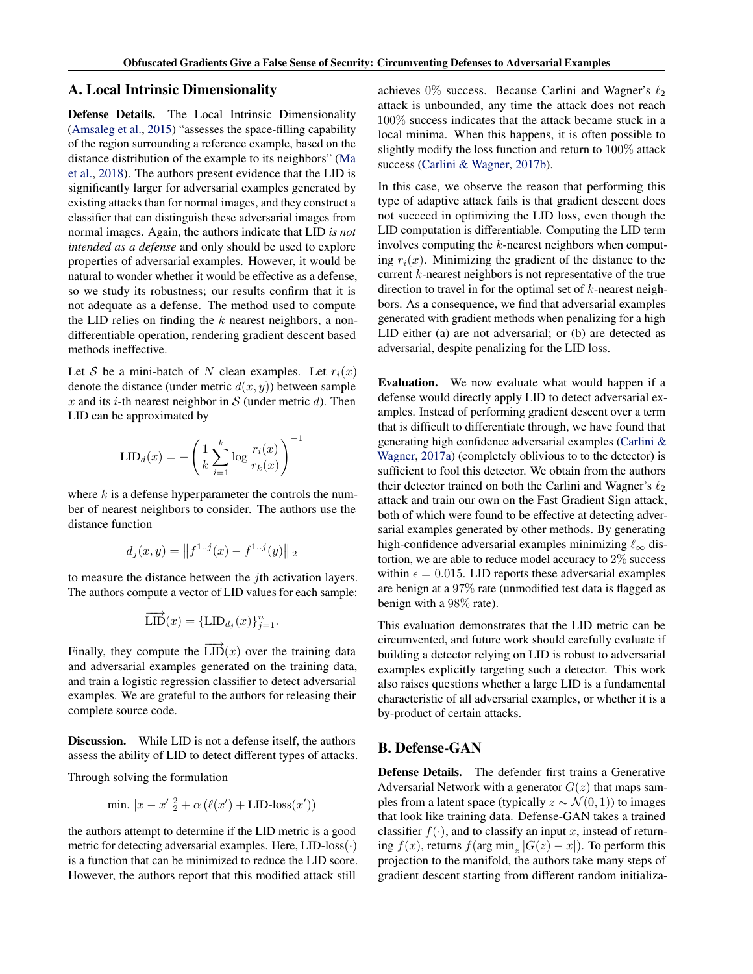## <span id="page-10-0"></span>A. Local Intrinsic Dimensionality

Defense Details. The Local Intrinsic Dimensionality [\(Amsaleg et al.,](#page-8-0) [2015\)](#page-8-0) "assesses the space-filling capability of the region surrounding a reference example, based on the distance distribution of the example to its neighbors" [\(Ma](#page-9-0) [et al.,](#page-9-0) [2018\)](#page-9-0). The authors present evidence that the LID is significantly larger for adversarial examples generated by existing attacks than for normal images, and they construct a classifier that can distinguish these adversarial images from normal images. Again, the authors indicate that LID *is not intended as a defense* and only should be used to explore properties of adversarial examples. However, it would be natural to wonder whether it would be effective as a defense, so we study its robustness; our results confirm that it is not adequate as a defense. The method used to compute the LID relies on finding the  $k$  nearest neighbors, a nondifferentiable operation, rendering gradient descent based methods ineffective.

Let S be a mini-batch of N clean examples. Let  $r_i(x)$ denote the distance (under metric  $d(x, y)$ ) between sample x and its *i*-th nearest neighbor in S (under metric d). Then LID can be approximated by

!<sup>−</sup><sup>1</sup>

$$
LID_d(x) = -\left(\frac{1}{k}\sum_{i=1}^k \log \frac{r_i(x)}{r_k(x)}\right)^{-1}
$$

where  $k$  is a defense hyperparameter the controls the number of nearest neighbors to consider. The authors use the distance function

$$
d_j(x, y) = ||f^{1 \dots j}(x) - f^{1 \dots j}(y)||_2
$$

to measure the distance between the jth activation layers. The authors compute a vector of LID values for each sample:

$$
\overrightarrow{\mathrm{LID}}(x) = {\mathrm{LID}_{d_j}(x)}_{j=1}^n.
$$

Finally, they compute the  $\overrightarrow{LID}(x)$  over the training data and adversarial examples generated on the training data, and train a logistic regression classifier to detect adversarial examples. We are grateful to the authors for releasing their complete source code.

Discussion. While LID is not a defense itself, the authors assess the ability of LID to detect different types of attacks.

Through solving the formulation

$$
\min. |x - x'|_2^2 + \alpha \left(\ell(x') + \text{LID-loss}(x')\right)
$$

the authors attempt to determine if the LID metric is a good metric for detecting adversarial examples. Here,  $LID$ -loss $(\cdot)$ is a function that can be minimized to reduce the LID score. However, the authors report that this modified attack still

achieves  $0\%$  success. Because Carlini and Wagner's  $\ell_2$ attack is unbounded, any time the attack does not reach 100% success indicates that the attack became stuck in a local minima. When this happens, it is often possible to slightly modify the loss function and return to 100% attack success [\(Carlini & Wagner,](#page-8-0) [2017b\)](#page-8-0).

In this case, we observe the reason that performing this type of adaptive attack fails is that gradient descent does not succeed in optimizing the LID loss, even though the LID computation is differentiable. Computing the LID term involves computing the k-nearest neighbors when computing  $r_i(x)$ . Minimizing the gradient of the distance to the current k-nearest neighbors is not representative of the true direction to travel in for the optimal set of  $k$ -nearest neighbors. As a consequence, we find that adversarial examples generated with gradient methods when penalizing for a high LID either (a) are not adversarial; or (b) are detected as adversarial, despite penalizing for the LID loss.

Evaluation. We now evaluate what would happen if a defense would directly apply LID to detect adversarial examples. Instead of performing gradient descent over a term that is difficult to differentiate through, we have found that generating high confidence adversarial examples [\(Carlini &](#page-8-0) [Wagner,](#page-8-0) [2017a\)](#page-8-0) (completely oblivious to to the detector) is sufficient to fool this detector. We obtain from the authors their detector trained on both the Carlini and Wagner's  $\ell_2$ attack and train our own on the Fast Gradient Sign attack, both of which were found to be effective at detecting adversarial examples generated by other methods. By generating high-confidence adversarial examples minimizing  $\ell_{\infty}$  distortion, we are able to reduce model accuracy to 2% success within  $\epsilon = 0.015$ . LID reports these adversarial examples are benign at a 97% rate (unmodified test data is flagged as benign with a 98% rate).

This evaluation demonstrates that the LID metric can be circumvented, and future work should carefully evaluate if building a detector relying on LID is robust to adversarial examples explicitly targeting such a detector. This work also raises questions whether a large LID is a fundamental characteristic of all adversarial examples, or whether it is a by-product of certain attacks.

## B. Defense-GAN

Defense Details. The defender first trains a Generative Adversarial Network with a generator  $G(z)$  that maps samples from a latent space (typically  $z \sim \mathcal{N}(0, 1)$ ) to images that look like training data. Defense-GAN takes a trained classifier  $f(\cdot)$ , and to classify an input x, instead of returning  $f(x)$ , returns  $f(\arg \min_z |G(z) - x|)$ . To perform this projection to the manifold, the authors take many steps of gradient descent starting from different random initializa